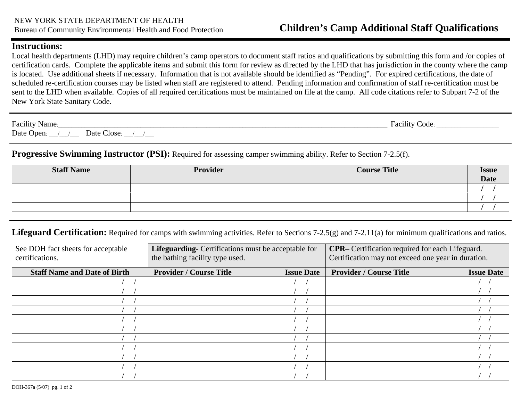## **Instructions:**

Local health departments (LHD) may require children's camp operators to document staff ratios and qualifications by submitting this form and /or copies of certification cards. Complete the applicable items and submit this form for review as directed by the LHD that has jurisdiction in the county where the camp is located. Use additional sheets if necessary. Information that is not available should be identified as "Pending". For expired certifications, the date of scheduled re-certification courses may be listed when staff are registered to attend. Pending information and confirmation of staff re-certification must be sent to the LHD when available. Copies of all required certifications must be maintained on file at the camp. All code citations refer to Subpart 7-2 of the New York State Sanitary Code.

| Facility Name:                             | Facility Code: |
|--------------------------------------------|----------------|
| Date Open:<br>Date Close:<br>$\frac{1}{2}$ |                |

**Progressive Swimming Instructor (PSI):** Required for assessing camper swimming ability. Refer to Section 7-2.5(f).

| <b>Staff Name</b> | Provider | <b>Course Title</b> | <b>Issue</b><br><b>Date</b> |
|-------------------|----------|---------------------|-----------------------------|
|                   |          |                     |                             |
|                   |          |                     |                             |
|                   |          |                     |                             |

Lifeguard Certification: Required for camps with swimming activities. Refer to Sections 7-2.5(g) and 7-2.11(a) for minimum qualifications and ratios.

| See DOH fact sheets for acceptable  | Lifeguarding- Certifications must be acceptable for |                   | CPR- Certification required for each Lifeguard.    |                   |
|-------------------------------------|-----------------------------------------------------|-------------------|----------------------------------------------------|-------------------|
| certifications.                     | the bathing facility type used.                     |                   | Certification may not exceed one year in duration. |                   |
| <b>Staff Name and Date of Birth</b> | <b>Provider / Course Title</b>                      | <b>Issue Date</b> | <b>Provider / Course Title</b>                     | <b>Issue Date</b> |
|                                     |                                                     |                   |                                                    |                   |
|                                     |                                                     |                   |                                                    |                   |
|                                     |                                                     |                   |                                                    |                   |
|                                     |                                                     |                   |                                                    |                   |
|                                     |                                                     |                   |                                                    |                   |
|                                     |                                                     |                   |                                                    |                   |
|                                     |                                                     |                   |                                                    |                   |
|                                     |                                                     |                   |                                                    |                   |
|                                     |                                                     |                   |                                                    |                   |
|                                     |                                                     |                   |                                                    |                   |
|                                     |                                                     |                   |                                                    |                   |